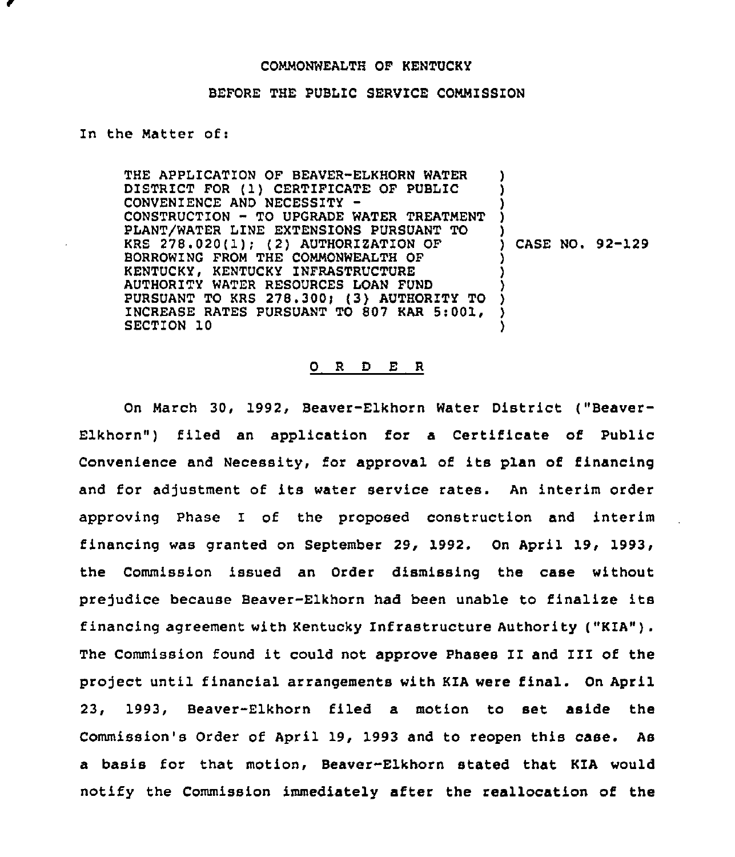## COMMONWEALTH OF KENTUCKY

## BEFORE THE PUBLIC SERVICE COMMISSION

## In the Matter of:

THE APPLICATION OF BEAVER-ELKHORN WATER DISTRICT FOR (1) CERTIFICATE OF PUBLIC CONVENIENCE AND NECESSITY CONSTRUCTION — TO UPGRADE WATER TREATMENT PLANT/WATER LINE EXTENSIONS PURSUANT TO KRS  $278.020(1)$ ; (2) AUTHORIZATION OF BORROWING FROM THE COMMONWEALTH OF KENTUCKY, KENTUCKY INFRASTRUCTURE AUTHORITY WATER RESOURCES LOAN FUND PURSUANT TO KRS 278.300! (3) AUTHORITY TO INCREASE RATES PURSUANT TO 807 KAR 5:001, SECTION 10 ) ) ) ) ) ) CASE NO. 92-129 ) ) ) ) ) )

## 0 <sup>R</sup> <sup>D</sup> E <sup>R</sup>

On March 30, 1992, Beaver-Elkhorn Water District ("Beaver-Elkhorn") filed an application for a Certificate of Public Convenience and Necessity, for approval of its plan of financing and for adjustment of its water service rates. An interim order approving Phase I of the proposed construction and interim financing was granted on September 29, 1992. On April Commission issued an Order dismissing the case without prejudice because Beaver-Elkhorn had been unable to finalize its financing agreement with Kentucky Infrastructure Authority ("KZA"). The Commission found it could not approve Phases II and III of the project until financial arrangements with KIA were final. On April 23, 1993, Beaver-Elkhorn filed a motion to set aside the Commission's Order of April 19, 1993 and to reopen this case. As a basis for that motion, Beaver-Elkhorn stated that KIA would notify the Commission immediately after the reallocation of the